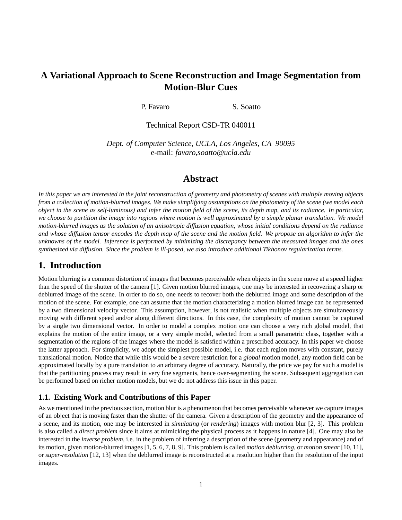# **A Variational Approach to Scene Reconstruction and Image Segmentation from Motion-Blur Cues**

P. Favaro S. Soatto

Technical Report CSD-TR 040011

*Dept. of Computer Science, UCLA, Los Angeles, CA 90095* e-mail: *favaro,soatto@ucla.edu*

## **Abstract**

*In this paper we are interested in the joint reconstruction of geometry and photometry of scenes with multiple moving objects from a collection of motion-blurred images. We make simplifying assumptions on the photometry of the scene (we model each object in the scene as self-luminous) and infer the motion field of the scene, its depth map, and its radiance. In particular, we choose to partition the image into regions where motion is well approximated by a simple planar translation. We model motion-blurred images as the solution of an anisotropic diffusion equation, whose initial conditions depend on the radiance and whose diffusion tensor encodes the depth map of the scene and the motion field. We propose an algorithm to infer the unknowns of the model. Inference is performed by minimizing the discrepancy between the measured images and the ones synthesized via diffusion. Since the problem is ill-posed, we also introduce additional Tikhonov regularization terms.*

# **1. Introduction**

Motion blurring is a common distortion of images that becomes perceivable when objects in the scene move at a speed higher than the speed of the shutter of the camera [1]. Given motion blurred images, one may be interested in recovering a sharp or deblurred image of the scene. In order to do so, one needs to recover both the deblurred image and some description of the motion of the scene. For example, one can assume that the motion characterizing a motion blurred image can be represented by a two dimensional velocity vector. This assumption, however, is not realistic when multiple objects are simultaneously moving with different speed and/or along different directions. In this case, the complexity of motion cannot be captured by a single two dimensional vector. In order to model a complex motion one can choose a very rich global model, that explains the motion of the entire image, or a very simple model, selected from a small parametric class, together with a segmentation of the regions of the images where the model is satisfied within a prescribed accuracy. In this paper we choose the latter approach. For simplicity, we adopt the simplest possible model, i.e. that each region moves with constant, purely translational motion. Notice that while this would be a severe restriction for a *global* motion model, any motion field can be approximated locally by a pure translation to an arbitrary degree of accuracy. Naturally, the price we pay for such a model is that the partitioning process may result in very fine segments, hence over-segmenting the scene. Subsequent aggregation can be performed based on richer motion models, but we do not address this issue in this paper.

## **1.1. Existing Work and Contributions of this Paper**

As we mentioned in the previous section, motion blur is a phenomenon that becomes perceivable whenever we capture images of an object that is moving faster than the shutter of the camera. Given a description of the geometry and the appearance of a scene, and its motion, one may be interested in *simulating* (or *rendering*) images with motion blur [2, 3]. This problem is also called a *direct problem* since it aims at mimicking the physical process as it happens in nature [4]. One may also be interested in the *inverse problem*, i.e. in the problem of inferring a description of the scene (geometry and appearance) and of its motion, given motion-blurred images [1, 5, 6, 7, 8, 9]. This problem is called *motion deblurring*, or *motion smear* [10, 11], or *super-resolution* [12, 13] when the deblurred image is reconstructed at a resolution higher than the resolution of the input images.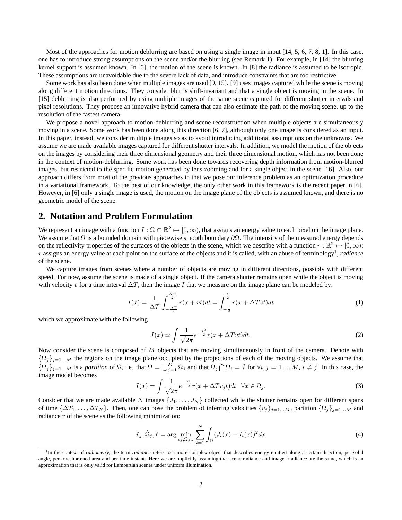Most of the approaches for motion deblurring are based on using a single image in input [14, 5, 6, 7, 8, 1]. In this case, one has to introduce strong assumptions on the scene and/or the blurring (see Remark 1). For example, in [14] the blurring kernel support is assumed known. In [6], the motion of the scene is known. In [8] the radiance is assumed to be isotropic. These assumptions are unavoidable due to the severe lack of data, and introduce constraints that are too restrictive.

Some work has also been done when multiple images are used [9, 15]. [9] uses images captured while the scene is moving along different motion directions. They consider blur is shift-invariant and that a single object is moving in the scene. In [15] deblurring is also performed by using multiple images of the same scene captured for different shutter intervals and pixel resolutions. They propose an innovative hybrid camera that can also estimate the path of the moving scene, up to the resolution of the fastest camera.

We propose a novel approach to motion-deblurring and scene reconstruction when multiple objects are simultaneously moving in a scene. Some work has been done along this direction [6, 7], although only one image is considered as an input. In this paper, instead, we consider multiple images so as to avoid introducing additional assumptions on the unknowns. We assume we are made available images captured for different shutter intervals. In addition, we model the motion of the objects on the images by considering their three dimensional geometry and their three dimensional motion, which has not been done in the context of motion-deblurring. Some work has been done towards recovering depth information from motion-blurred images, but restricted to the specific motion generated by lens zooming and for a single object in the scene [16]. Also, our approach differs from most of the previous approaches in that we pose our inference problem as an optimization procedure in a variational framework. To the best of our knowledge, the only other work in this framework is the recent paper in [6]. However, in [6] only a single image is used, the motion on the image plane of the objects is assumed known, and there is no geometric model of the scene.

# **2. Notation and Problem Formulation**

We represent an image with a function  $I: \Omega \subset \mathbb{R}^2 \mapsto [0, \infty)$ , that assigns an energy value to each pixel on the image plane. We assume that  $\Omega$  is a bounded domain with piecewise smooth boundary  $\partial\Omega$ . The intensity of the measured energy depends on the reflectivity properties of the surfaces of the objects in the scene, which we describe with a function  $r : \mathbb{R}^2 \mapsto [0, \infty);$ r assigns an energy value at each point on the surface of the objects and it is called, with an abuse of terminology<sup>1</sup>, *radiance* of the scene.

We capture images from scenes where a number of objects are moving in different directions, possibly with different speed. For now, assume the scene is made of a single object. If the camera shutter remains open while the object is moving with velocity v for a time interval  $\Delta T$ , then the image I that we measure on the image plane can be modeled by:

$$
I(x) = \frac{1}{\Delta T} \int_{-\frac{\Delta T}{2}}^{\frac{\Delta T}{2}} r(x + vt) dt = \int_{-\frac{1}{2}}^{\frac{1}{2}} r(x + \Delta T vt) dt
$$
 (1)

which we approximate with the following

$$
I(x) \simeq \int \frac{1}{\sqrt{2\pi}} e^{-\frac{t^2}{2}} r(x + \Delta T vt) dt.
$$
 (2)

Now consider the scene is composed of M objects that are moving simultaneously in front of the camera. Denote with  $\{\Omega_j\}_{j=1...M}$  the regions on the image plane occupied by the projections of each of the moving objects. We assume that  ${\Omega_j}_{j=1...M}$  is a *partition* of  $\Omega$ , i.e. that  $\Omega = \bigcup_{j=1}^{M} \Omega_j$  and that  $\Omega_j \cap \Omega_i = \emptyset$  for  $\forall i, j = 1...M, i \neq j$ . In this case, the image model becomes

$$
I(x) = \int \frac{1}{\sqrt{2\pi}} e^{-\frac{t^2}{2}} r(x + \Delta T v_j t) dt \quad \forall x \in \Omega_j.
$$
 (3)

Consider that we are made available N images  $\{J_1, \ldots, J_N\}$  collected while the shutter remains open for different spans of time  $\{\Delta T_1, \ldots, \Delta T_N\}$ . Then, one can pose the problem of inferring velocities  $\{v_j\}_{j=1...M}$ , partition  $\{\Omega_j\}_{j=1...M}$  and radiance  $r$  of the scene as the following minimization:

$$
\hat{v}_j, \hat{\Omega}_j, \hat{r} = \arg \min_{v_j, \Omega_j, r} \sum_{i=1}^N \int_{\Omega} (J_i(x) - I_i(x))^2 dx
$$
\n(4)

<sup>&</sup>lt;sup>1</sup>In the context of *radiometry*, the term *radiance* refers to a more complex object that describes energy emitted along a certain direction, per solid angle, per foreshortened area and per time instant. Here we are implicitly assuming that scene radiance and image irradiance are the same, which is an approximation that is only valid for Lambertian scenes under uniform illumination.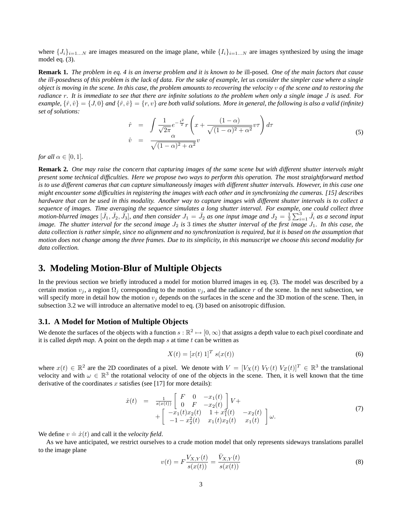where  $\{J_i\}_{i=1...N}$  are images measured on the image plane, while  $\{I_i\}_{i=1...N}$  are images synthesized by using the image model eq. (3).

**Remark 1.** *The problem in eq. 4 is an inverse problem and it is known to be* ill-posed*. One of the main factors that cause the ill-posedness of this problem is the lack of data. For the sake of example, let us consider the simpler case where a single object is moving in the scene. In this case, the problem amounts to recovering the velocity* v *of the scene and to restoring the radiance* r*. It is immediate to see that there are infinite solutions to the problem when only a single image* J *is used. For example,*  $\{\hat{r}, \hat{v}\} = \{J, 0\}$  *and*  $\{\hat{r}, \hat{v}\} = \{r, v\}$  *are both valid solutions. More in general, the following is also a valid (infinite) set of solutions:*  $\overline{\phantom{a}}$ 

$$
\hat{r} = \int \frac{1}{\sqrt{2\pi}} e^{-\frac{t^2}{2}} r \left( x + \frac{(1-\alpha)}{\sqrt{(1-\alpha)^2 + \alpha^2}} v \tau \right) d\tau
$$
\n
$$
\hat{v} = \frac{\alpha}{\sqrt{(1-\alpha)^2 + \alpha^2}} v \tag{5}
$$

*for all*  $\alpha \in [0, 1]$ *.* 

**Remark 2.** *One may raise the concern that capturing images of the same scene but with different shutter intervals might present some technical difficulties. Here we propose two ways to perform this operation. The most straightforward method is to use different cameras that can capture simultaneously images with different shutter intervals. However, in this case one might encounter some difficulties in registering the images with each other and in synchronizing the cameras. [15] describes hardware that can be used in this modality. Another way to capture images with different shutter intervals is to collect a sequence of images. Time averaging the sequence simulates a long shutter interval. For example, one could collect three* motion-blurred images  $[\bar{J}_1, \bar{J}_2, \bar{J}_3]$ , and then consider  $J_1 = \bar{J}_2$  as one input image and  $J_2 = \frac{1}{3}$  $\sum_{i=1}^{3} \bar{J}_i$  as a second input *image. The shutter interval for the second image*  $J_2$  *is* 3 *times the shutter interval of the first image*  $J_1$ *. In this case, the data collection is rather simple, since no alignment and no synchronization is required, but it is based on the assumption that motion does not change among the three frames. Due to its simplicity, in this manuscript we choose this second modality for data collection.*

## **3. Modeling Motion-Blur of Multiple Objects**

In the previous section we briefly introduced a model for motion blurred images in eq. (3). The model was described by a certain motion  $v_j$ , a region  $\Omega_j$  corresponding to the motion  $v_j$ , and the radiance r of the scene. In the next subsection, we will specify more in detail how the motion  $v_j$  depends on the surfaces in the scene and the 3D motion of the scene. Then, in subsection 3.2 we will introduce an alternative model to eq. (3) based on anisotropic diffusion.

#### **3.1. A Model for Motion of Multiple Objects**

We denote the surfaces of the objects with a function  $s : \mathbb{R}^2 \to [0, \infty)$  that assigns a depth value to each pixel coordinate and it is called *depth map*. A point on the depth map s at time  $t$  can be written as

$$
X(t) = [x(t) 1]^T s(x(t))
$$
\n
$$
(6)
$$

where  $x(t) \in \mathbb{R}^2$  are the 2D coordinates of a pixel. We denote with  $V = [V_X(t) V_Y(t) V_Z(t)]^T \in \mathbb{R}^3$  the translational velocity and with  $\omega \in \mathbb{R}^3$  the rotational velocity of one of the objects in the scene. Then, it is well known that the time derivative of the coordinates  $x$  satisfies (see [17] for more details):

$$
\dot{x}(t) = \frac{1}{s(x(t))} \begin{bmatrix} F & 0 & -x_1(t) \\ 0 & F & -x_2(t) \end{bmatrix} V + \\ + \begin{bmatrix} -x_1(t)x_2(t) & 1 + x_1^2(t) & -x_2(t) \\ -1 - x_2^2(t) & x_1(t)x_2(t) & x_1(t) \end{bmatrix} \omega.
$$
\n(7)

We define  $v \doteq \dot{x}(t)$  and call it the *velocity field*.

As we have anticipated, we restrict ourselves to a crude motion model that only represents sideways translations parallel to the image plane

$$
v(t) = F\frac{V_{X,Y}(t)}{s(x(t))} = \frac{\bar{V}_{X,Y}(t)}{s(x(t))}
$$
\n(8)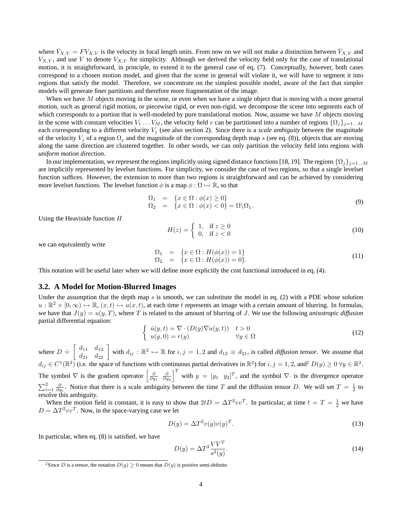where  $\bar{V}_{X,Y} = F V_{X,Y}$  is the velocity in focal length units. From now on we will not make a distinction between  $\bar{V}_{X,Y}$  and  $V_{X,Y}$ , and use V to denote  $V_{X,Y}$  for simplicity. Although we derived the velocity field only for the case of translational motion, it is straightforward, in principle, to extend it to the general case of eq. (7). Conceptually, however, both cases correspond to a chosen motion model, and given that the scene in general will violate it, we will have to segment it into regions that satisfy the model. Therefore, we concentrate on the simplest possible model, aware of the fact that simpler models will generate finer partitions and therefore more fragmentation of the image.

When we have M objects moving in the scene, or even when we have a single object that is moving with a more general motion, such as general rigid motion, or piecewise rigid, or even non-rigid, we decompose the scene into segments each of which corresponds to a portion that is well-modeled by pure translational motion. Now, assume we have  $M$  objects moving in the scene with constant velocities  $V_1 \ldots V_M$ , the velocity field v can be partitioned into a number of regions  $\{\Omega_j\}_{j=1...M}$ each corresponding to a different velocity  $V_j$  (see also section 2). Since there is a *scale ambiguity* between the magnitude of the velocity  $V_i$  of a region  $\Omega_i$  and the magnitude of the corresponding depth map s (see eq. (8)), objects that are moving along the same direction are clustered together. In other words, we can only partition the velocity field into regions with *uniform motion direction*.

In our implementation, we represent the regions implicitly using signed distance functions [18, 19]. The regions  $\{\Omega_i\}_{i=1...M}$ are implicitly represented by levelset functions. For simplicity, we consider the case of two regions, so that a single levelset function suffices. However, the extension to more than two regions is straightforward and can be achieved by considering more levelset functions. The levelset function  $\phi$  is a map  $\phi : \Omega \mapsto \mathbb{R}$ , so that

$$
\begin{array}{rcl}\n\Omega_1 & = & \{x \in \Omega : \phi(x) \ge 0\} \\
\Omega_2 & = & \{x \in \Omega : \phi(x) < 0\} = \Omega \backslash \Omega_1.\n\end{array} \tag{9}
$$

Using the Heaviside function H

$$
H(z) = \begin{cases} 1, & \text{if } z \ge 0 \\ 0, & \text{if } z < 0 \end{cases} \tag{10}
$$

we can equivalently write

$$
\begin{array}{rcl}\n\Omega_1 & = & \{x \in \Omega : H(\phi(x)) = 1\} \\
\Omega_2 & = & \{x \in \Omega : H(\phi(x)) = 0\}.\n\end{array} \tag{11}
$$

This notation will be useful later when we will define more explicitly the cost functional introduced in eq. (4).

#### **3.2. A Model for Motion-Blurred Images**

Under the assumption that the depth map s is smooth, we can substitute the model in eq. (2) with a PDE whose solution  $u : \mathbb{R}^2 \times [0, \infty) \mapsto \mathbb{R}, (x, t) \mapsto u(x, t)$ , at each time t represents an image with a certain amount of blurring. In formulas, we have that  $J(y) = u(y, T)$ , where T is related to the amount of blurring of J. We use the following *anisotropic diffusion* partial differential equation: ½

$$
\begin{cases}\n\dot{u}(y,t) = \nabla \cdot (D(y)\nabla u(y,t)) & t > 0 \\
u(y,0) = r(y) & \forall y \in \Omega\n\end{cases} \tag{12}
$$

where  $D \doteq$  $\begin{bmatrix} d_{11} & d_{12} \\ d_{21} & d_{22} \end{bmatrix}$  with  $d_{ij}: \mathbb{R}^2 \mapsto \mathbb{R}$  for  $i, j = 1, 2$  and  $d_{12} \equiv d_{21}$ , is called *diffusion tensor*. We assume that  $d_{ij} \in C^1(\mathbb{R}^2)$  (i.e. the space of functions with continuous partial derivatives in  $\mathbb{R}^2$ ) for  $i, j = 1, 2$ , and  $D(y) \ge 0$   $\forall y \in \mathbb{R}^2$ . The symbol  $\nabla$  is the gradient operator  $\left[\frac{\partial}{\partial y_1} \frac{\partial}{\partial y_2}\right]^T$  with  $y = [y_1 \ y_2]^T$ , and the symbol  $\nabla \cdot$  is the divergence operator  $\sum_{i=1}^{2} \frac{\partial}{\partial y_i}$ . Notice that there is a scale ambiguity between the time T and the diffusion tensor D. We will set  $T = \frac{1}{2}$  to resolve this ambiguity.

When the motion field is constant, it is easy to show that  $2tD = \Delta T^2 v v^T$ . In particular, at time  $t = T = \frac{1}{2}$  we have  $D = \Delta T^2 v v^T$ . Now, in the space-varying case we let

$$
D(y) = \Delta T^2 v(y) v(y)^T.
$$
\n(13)

In particular, when eq. (8) is satisfied, we have

$$
D(y) = \Delta T^2 \frac{VV^T}{s^2(y)}.\tag{14}
$$

<sup>&</sup>lt;sup>2</sup>Since *D* is a tensor, the notation  $D(y) \ge 0$  means that  $D(y)$  is positive semi-definite.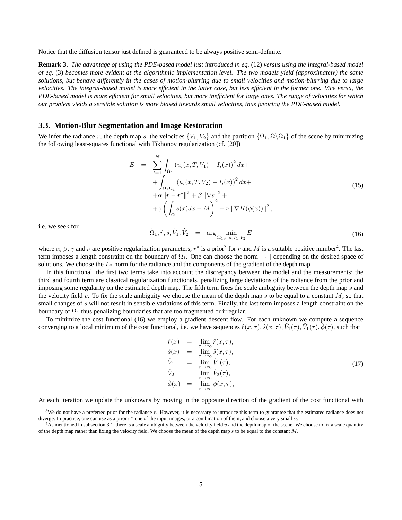Notice that the diffusion tensor just defined is guaranteed to be always positive semi-definite.

**Remark 3.** *The advantage of using the PDE-based model just introduced in eq.* (12) *versus using the integral-based model of eq.* (3) *becomes more evident at the algorithmic implementation level. The two models yield (approximately) the same solutions, but behave differently in the cases of motion-blurring due to small velocities and motion-blurring due to large velocities. The integral-based model is more efficient in the latter case, but less efficient in the former one. Vice versa, the PDE-based model is more efficient for small velocities, but more inefficient for large ones. The range of velocities for which our problem yields a sensible solution is more biased towards small velocities, thus favoring the PDE-based model.*

#### **3.3. Motion-Blur Segmentation and Image Restoration**

We infer the radiance r, the depth map s, the velocities  ${V_1, V_2}$  and the partition  ${\Omega_1, \Omega \backslash \Omega_1}$  of the scene by minimizing the following least-squares functional with Tikhonov regularization (cf. [20])

$$
E = \sum_{i=1}^{N} \int_{\Omega_1} (u_i(x, T, V_1) - I_i(x))^2 dx +
$$
  
+ 
$$
\int_{\Omega \setminus \Omega_1} (u_i(x, T, V_2) - I_i(x))^2 dx +
$$
  
+ 
$$
\alpha ||r - r^*||^2 + \beta ||\nabla s||^2 +
$$
  
+ 
$$
\gamma \left( \int_{\Omega} s(x) dx - M \right)^2 + \nu ||\nabla H(\phi(x))||^2,
$$
 (15)

i.e. we seek for

$$
\hat{\Omega}_1, \hat{r}, \hat{s}, \hat{V}_1, \hat{V}_2 = \arg\min_{\Omega_1, r, s, V_1, V_2} E
$$
\n(16)

where  $\alpha$ ,  $\beta$ ,  $\gamma$  and  $\nu$  are positive regularization parameters,  $r^*$  is a prior<sup>3</sup> for r and M is a suitable positive number<sup>4</sup>. The last term imposes a length constraint on the boundary of  $\Omega_1$ . One can choose the norm  $\|\cdot\|$  depending on the desired space of solutions. We choose the  $L_2$  norm for the radiance and the components of the gradient of the depth map.

In this functional, the first two terms take into account the discrepancy between the model and the measurements; the third and fourth term are classical regularization functionals, penalizing large deviations of the radiance from the prior and imposing some regularity on the estimated depth map. The fifth term fixes the scale ambiguity between the depth map s and the velocity field v. To fix the scale ambiguity we choose the mean of the depth map s to be equal to a constant  $M$ , so that small changes of s will not result in sensible variations of this term. Finally, the last term imposes a length constraint on the boundary of  $\Omega_1$  thus penalizing boundaries that are too fragmented or irregular.

To minimize the cost functional (16) we employ a gradient descent flow. For each unknown we compute a sequence converging to a local minimum of the cost functional, i.e. we have sequences  $\hat{r}(x,\tau)$ ,  $\hat{s}(x,\tau)$ ,  $\hat{V}_1(\tau)$ ,  $\hat{V}_1(\tau)$ ,  $\hat{\phi}(\tau)$ , such that

$$
\hat{r}(x) = \lim_{\tau \to \infty} \hat{r}(x, \tau), \n\hat{s}(x) = \lim_{\tau \to \infty} \hat{s}(x, \tau), \n\hat{V}_1 = \lim_{\tau \to \infty} \hat{V}_1(\tau), \n\hat{V}_2 = \lim_{\tau \to \infty} \hat{V}_2(\tau), \n\hat{\phi}(x) = \lim_{\tau \to \infty} \hat{\phi}(x, \tau),
$$
\n(17)

At each iteration we update the unknowns by moving in the opposite direction of the gradient of the cost functional with

 $3$ We do not have a preferred prior for the radiance  $r$ . However, it is necessary to introduce this term to guarantee that the estimated radiance does not diverge. In practice, one can use as a prior  $r^*$  one of the input images, or a combination of them, and choose a very small  $\alpha$ .

<sup>&</sup>lt;sup>4</sup>As mentioned in subsection 3.1, there is a scale ambiguity between the velocity field v and the depth map of the scene. We choose to fix a scale quantity of the depth map rather than fixing the velocity field. We choose the mean of the depth map  $s$  to be equal to the constant  $M$ .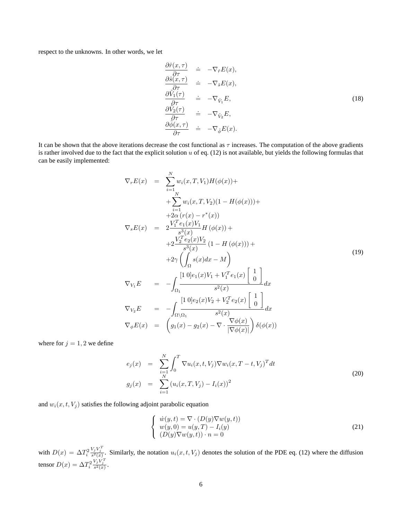respect to the unknowns. In other words, we let

$$
\frac{\partial \hat{r}(x,\tau)}{\partial \tau} = -\nabla_{\hat{r}} E(x), \n\frac{\partial \hat{s}(x,\tau)}{\partial \tau} = -\nabla_{\hat{s}} E(x), \n\frac{\partial \hat{V}_1(\tau)}{\partial \tau} = -\nabla_{\hat{V}_1} E, \n\frac{\partial \hat{V}_2(\tau)}{\partial \tau} = -\nabla_{\hat{V}_2} E, \n\frac{\partial \phi(x,\tau)}{\partial \tau} = -\nabla_{\hat{\phi}} E(x).
$$
\n(18)

It can be shown that the above iterations decrease the cost functional as  $\tau$  increases. The computation of the above gradients is rather involved due to the fact that the explicit solution  $u$  of eq. (12) is not available, but yields the following formulas that can be easily implemented:

$$
\nabla_{r}E(x) = \sum_{i=1}^{N} w_{i}(x, T, V_{1})H(\phi(x)) + \n+ \sum_{i=1}^{N} w_{i}(x, T, V_{2})(1 - H(\phi(x))) + \n+ 2\alpha (r(x) - r^{*}(x)) \n\nabla_{s}E(x) = 2\frac{V_{1}^{T}e_{1}(x)V_{1}}{s^{3}(x)}H(\phi(x)) + \n+ 2\frac{V_{2}^{T}e_{2}(x)V_{2}}{s^{3}(x)}(1 - H(\phi(x))) + \n+ 2\gamma \left(\int_{\Omega} s(x)dx - M\right) \n\nabla_{V_{1}}E = -\int_{\Omega_{1}} \frac{[1 \ 0]e_{1}(x)V_{1} + V_{1}^{T}e_{1}(x) \begin{bmatrix} 1 \\ 0 \end{bmatrix}}{s^{2}(x)} dx \n\nabla_{V_{2}}E = -\int_{\Omega_{1}} \frac{[1 \ 0]e_{2}(x)V_{2} + V_{2}^{T}e_{2}(x) \begin{bmatrix} 1 \\ 0 \end{bmatrix}}{s^{2}(x)} dx \n\nabla_{\phi}E(x) = \left(g_{1}(x) - g_{2}(x) - \nabla \cdot \frac{\nabla \phi(x)}{|\nabla \phi(x)|}\right) \delta(\phi(x))
$$

where for  $j = 1, 2$  we define

$$
e_j(x) = \sum_{\substack{i=1 \ N}}^{N} \int_0^T \nabla u_i(x, t, V_j) \nabla w_i(x, T - t, V_j)^T dt
$$
  
\n
$$
g_j(x) = \sum_{i=1}^{N} (u_i(x, T, V_j) - I_i(x))^2
$$
\n(20)

and  $w_i(x, t, V_j)$  satisfies the following adjoint parabolic equation

$$
\begin{cases}\n\dot{w}(y,t) = \nabla \cdot (D(y)\nabla w(y,t)) \\
w(y,0) = u(y,T) - I_i(y) \\
(D(y)\nabla w(y,t)) \cdot n = 0\n\end{cases}
$$
\n(21)

with  $D(x) = \Delta T_i^2$  $\frac{V_j V_j^T}{s^2(x)}$ . Similarly, the notation  $u_i(x, t, V_j)$  denotes the solution of the PDE eq. (12) where the diffusion tensor  $D(x) = \Delta T_i^2$  $\frac{V_j V_j^T}{s^2(x)}$ .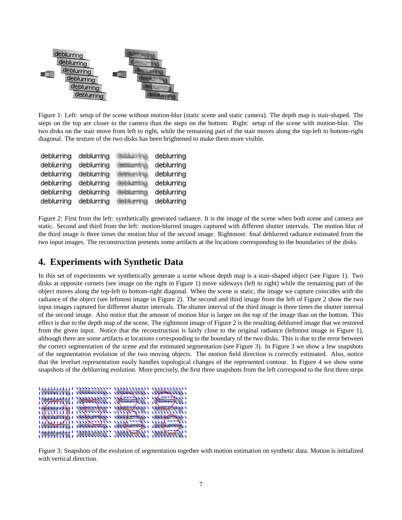

Figure 1: Left: setup of the scene without motion-blur (static scene and static camera). The depth map is stair-shaped. The steps on the top are closer to the camera than the steps on the bottom. Right: setup of the scene with motion-blur. The two disks on the stair move from left to right, while the remaining part of the stair moves along the top-left to bottom-right diagonal. The texture of the two disks has been brightened to make them more visible.

| deblurring | deblurring | deblurring |
|------------|------------|------------|
| deblurring | deblurring | deblurring |
| deblurring | deblurring | deblurring |
| deblurring | deblurring | deblurring |
| deblurring | deblurring | deblurring |
| deblurring | deblurring | deblurring |

Figure 2: First from the left: synthetically generated radiance. It is the image of the scene when both scene and camera are static. Second and third from the left: motion-blurred images captured with different shutter intervals. The motion blur of the third image is three times the motion blur of the second image. Rightmost: final deblurred radiance estimated from the two input images. The reconstruction presents some artifacts at the locations corresponding to the boundaries of the disks.

# **4. Experiments with Synthetic Data**

In this set of experiments we synthetically generate a scene whose depth map is a stair-shaped object (see Figure 1). Two disks at opposite corners (see image on the right in Figure 1) move sideways (left to right) while the remaining part of the object moves along the top-left to bottom-right diagonal. When the scene is static, the image we capture coincides with the radiance of the object (see leftmost image in Figure 2). The second and third image from the left of Figure 2 show the two input images captured for different shutter intervals. The shutter interval of the third image is three times the shutter interval of the second image. Also notice that the amount of motion blur is larger on the top of the image than on the bottom. This effect is due to the depth map of the scene. The rightmost image of Figure 2 is the resulting deblurred image that we restored from the given input. Notice that the reconstruction is fairly close to the original radiance (leftmost image in Figure 1), although there are some artifacts at locations corresponding to the boundary of the two disks. This is due to the error between the correct segmentation of the scene and the estimated segmentation (see Figure 3). In Figure 3 we show a few snapshots of the segmentation evolution of the two moving objects. The motion field direction is correctly estimated. Also, notice that the levelset representation easily handles topological changes of the represented contour. In Figure 4 we show some snapshots of the deblurring evolution. More precisely, the first three snapshots from the left correspond to the first three steps

|                        | ,,,,,,,,,,,,,, |                                               | ,,,,,,,,,,,,,,,,,,,,,,,,,,,, |
|------------------------|----------------|-----------------------------------------------|------------------------------|
| 111111111              |                |                                               |                              |
| 111111111              |                | 11117                                         |                              |
| <b>HIMIIN.</b>         |                |                                               |                              |
|                        |                | month company in the company in the continued |                              |
| 111111111              |                | $\frac{1}{2}$                                 |                              |
|                        |                | 1119-1-1-111111111-111111111                  |                              |
| 111111111              |                | 111160004111 11116000411 11111                |                              |
|                        |                | ANNESSANTINA SYSTEMATICS SYSTEM               |                              |
| <b><i>AAAAAAAA</i></b> |                |                                               |                              |
|                        |                |                                               |                              |

Figure 3: Snapshots of the evolution of segmentation together with motion estimation on synthetic data. Motion is initialized with vertical direction.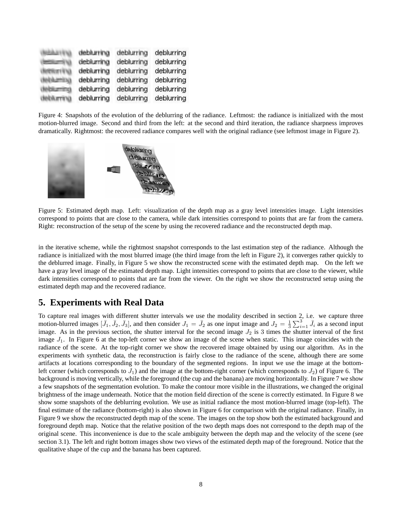| deblurring | deblurring | deblurring |
|------------|------------|------------|
| debluming  | deblurring | deblurring |
| deblurring | deblurring | deblurring |
| deblurring | deblurring | deblurring |
| deblurring | deblurring | deblurring |
| deblurring | deblurring | deblurring |

Figure 4: Snapshots of the evolution of the deblurring of the radiance. Leftmost: the radiance is initialized with the most motion-blurred image. Second and third from the left: at the second and third iteration, the radiance sharpness improves dramatically. Rightmost: the recovered radiance compares well with the original radiance (see leftmost image in Figure 2).



Figure 5: Estimated depth map. Left: visualization of the depth map as a gray level intensities image. Light intensities correspond to points that are close to the camera, while dark intensities correspond to points that are far from the camera. Right: reconstruction of the setup of the scene by using the recovered radiance and the reconstructed depth map.

in the iterative scheme, while the rightmost snapshot corresponds to the last estimation step of the radiance. Although the radiance is initialized with the most blurred image (the third image from the left in Figure 2), it converges rather quickly to the deblurred image. Finally, in Figure 5 we show the reconstructed scene with the estimated depth map. On the left we have a gray level image of the estimated depth map. Light intensities correspond to points that are close to the viewer, while dark intensities correspond to points that are far from the viewer. On the right we show the reconstructed setup using the estimated depth map and the recovered radiance.

# **5. Experiments with Real Data**

To capture real images with different shutter intervals we use the modality described in section 2, i.e. we capture three motion-blurred images  $[\bar{J}_1, \bar{J}_2, \bar{J}_3]$ , and then consider  $J_1 = \bar{J}_2$  as one input image and  $J_2 = \frac{1}{3}$  $\sum_{i=1}^{3} \bar{J}_i$  as a second input image. As in the previous section, the shutter interval for the second image  $J_2$  is 3 times the shutter interval of the first image  $J_1$ . In Figure 6 at the top-left corner we show an image of the scene when static. This image coincides with the radiance of the scene. At the top-right corner we show the recovered image obtained by using our algorithm. As in the experiments with synthetic data, the reconstruction is fairly close to the radiance of the scene, although there are some artifacts at locations corresponding to the boundary of the segmented regions. In input we use the image at the bottomleft corner (which corresponds to  $J_1$ ) and the image at the bottom-right corner (which corresponds to  $J_2$ ) of Figure 6. The background is moving vertically, while the foreground (the cup and the banana) are moving horizontally. In Figure 7 we show a few snapshots of the segmentation evolution. To make the contour more visible in the illustrations, we changed the original brightness of the image underneath. Notice that the motion field direction of the scene is correctly estimated. In Figure 8 we show some snapshots of the deblurring evolution. We use as initial radiance the most motion-blurred image (top-left). The final estimate of the radiance (bottom-right) is also shown in Figure 6 for comparison with the original radiance. Finally, in Figure 9 we show the reconstructed depth map of the scene. The images on the top show both the estimated background and foreground depth map. Notice that the relative position of the two depth maps does not correspond to the depth map of the original scene. This inconvenience is due to the scale ambiguity between the depth map and the velocity of the scene (see section 3.1). The left and right bottom images show two views of the estimated depth map of the foreground. Notice that the qualitative shape of the cup and the banana has been captured.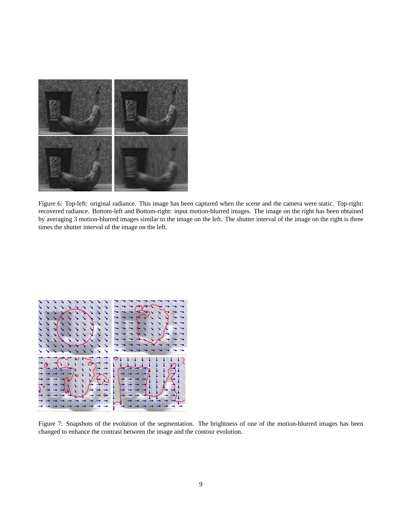

Figure 6: Top-left: original radiance. This image has been captured when the scene and the camera were static. Top-right: recovered radiance. Bottom-left and Bottom-right: input motion-blurred images. The image on the right has been obtained by averaging 3 motion-blurred images similar to the image on the left. The shutter interval of the image on the right is three times the shutter interval of the image on the left.



Figure 7: Snapshots of the evolution of the segmentation. The brightness of one of the motion-blurred images has been changed to enhance the contrast between the image and the contour evolution.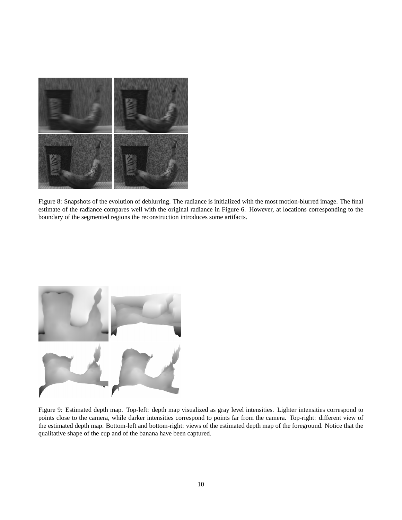

Figure 8: Snapshots of the evolution of deblurring. The radiance is initialized with the most motion-blurred image. The final estimate of the radiance compares well with the original radiance in Figure 6. However, at locations corresponding to the boundary of the segmented regions the reconstruction introduces some artifacts.



Figure 9: Estimated depth map. Top-left: depth map visualized as gray level intensities. Lighter intensities correspond to points close to the camera, while darker intensities correspond to points far from the camera. Top-right: different view of the estimated depth map. Bottom-left and bottom-right: views of the estimated depth map of the foreground. Notice that the qualitative shape of the cup and of the banana have been captured.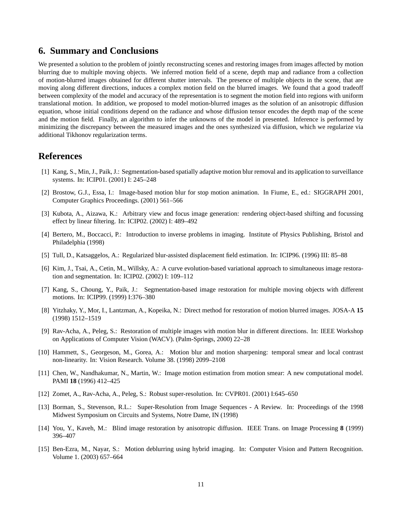### **6. Summary and Conclusions**

We presented a solution to the problem of jointly reconstructing scenes and restoring images from images affected by motion blurring due to multiple moving objects. We inferred motion field of a scene, depth map and radiance from a collection of motion-blurred images obtained for different shutter intervals. The presence of multiple objects in the scene, that are moving along different directions, induces a complex motion field on the blurred images. We found that a good tradeoff between complexity of the model and accuracy of the representation is to segment the motion field into regions with uniform translational motion. In addition, we proposed to model motion-blurred images as the solution of an anisotropic diffusion equation, whose initial conditions depend on the radiance and whose diffusion tensor encodes the depth map of the scene and the motion field. Finally, an algorithm to infer the unknowns of the model in presented. Inference is performed by minimizing the discrepancy between the measured images and the ones synthesized via diffusion, which we regularize via additional Tikhonov regularization terms.

### **References**

- [1] Kang, S., Min, J., Paik, J.: Segmentation-based spatially adaptive motion blur removal and its application to surveillance systems. In: ICIP01. (2001) I: 245–248
- [2] Brostow, G.J., Essa, I.: Image-based motion blur for stop motion animation. In Fiume, E., ed.: SIGGRAPH 2001, Computer Graphics Proceedings. (2001) 561–566
- [3] Kubota, A., Aizawa, K.: Arbitrary view and focus image generation: rendering object-based shifting and focussing effect by linear filtering. In: ICIP02. (2002) I: 489–492
- [4] Bertero, M., Boccacci, P.: Introduction to inverse problems in imaging. Institute of Physics Publishing, Bristol and Philadelphia (1998)
- [5] Tull, D., Katsaggelos, A.: Regularized blur-assisted displacement field estimation. In: ICIP96. (1996) III: 85–88
- [6] Kim, J., Tsai, A., Cetin, M., Willsky, A.: A curve evolution-based variational approach to simultaneous image restoration and segmentation. In: ICIP02. (2002) I: 109–112
- [7] Kang, S., Choung, Y., Paik, J.: Segmentation-based image restoration for multiple moving objects with different motions. In: ICIP99. (1999) I:376–380
- [8] Yitzhaky, Y., Mor, I., Lantzman, A., Kopeika, N.: Direct method for restoration of motion blurred images. JOSA-A **15** (1998) 1512–1519
- [9] Rav-Acha, A., Peleg, S.: Restoration of multiple images with motion blur in different directions. In: IEEE Workshop on Applications of Computer Vision (WACV). (Palm-Springs, 2000) 22–28
- [10] Hammett, S., Georgeson, M., Gorea, A.: Motion blur and motion sharpening: temporal smear and local contrast non-linearity. In: Vision Research. Volume 38. (1998) 2099–2108
- [11] Chen, W., Nandhakumar, N., Martin, W.: Image motion estimation from motion smear: A new computational model. PAMI **18** (1996) 412–425
- [12] Zomet, A., Rav-Acha, A., Peleg, S.: Robust super-resolution. In: CVPR01. (2001) I:645–650
- [13] Borman, S., Stevenson, R.L.: Super-Resolution from Image Sequences A Review. In: Proceedings of the 1998 Midwest Symposium on Circuits and Systems, Notre Dame, IN (1998)
- [14] You, Y., Kaveh, M.: Blind image restoration by anisotropic diffusion. IEEE Trans. on Image Processing **8** (1999) 396–407
- [15] Ben-Ezra, M., Nayar, S.: Motion deblurring using hybrid imaging. In: Computer Vision and Pattern Recognition. Volume 1. (2003) 657–664